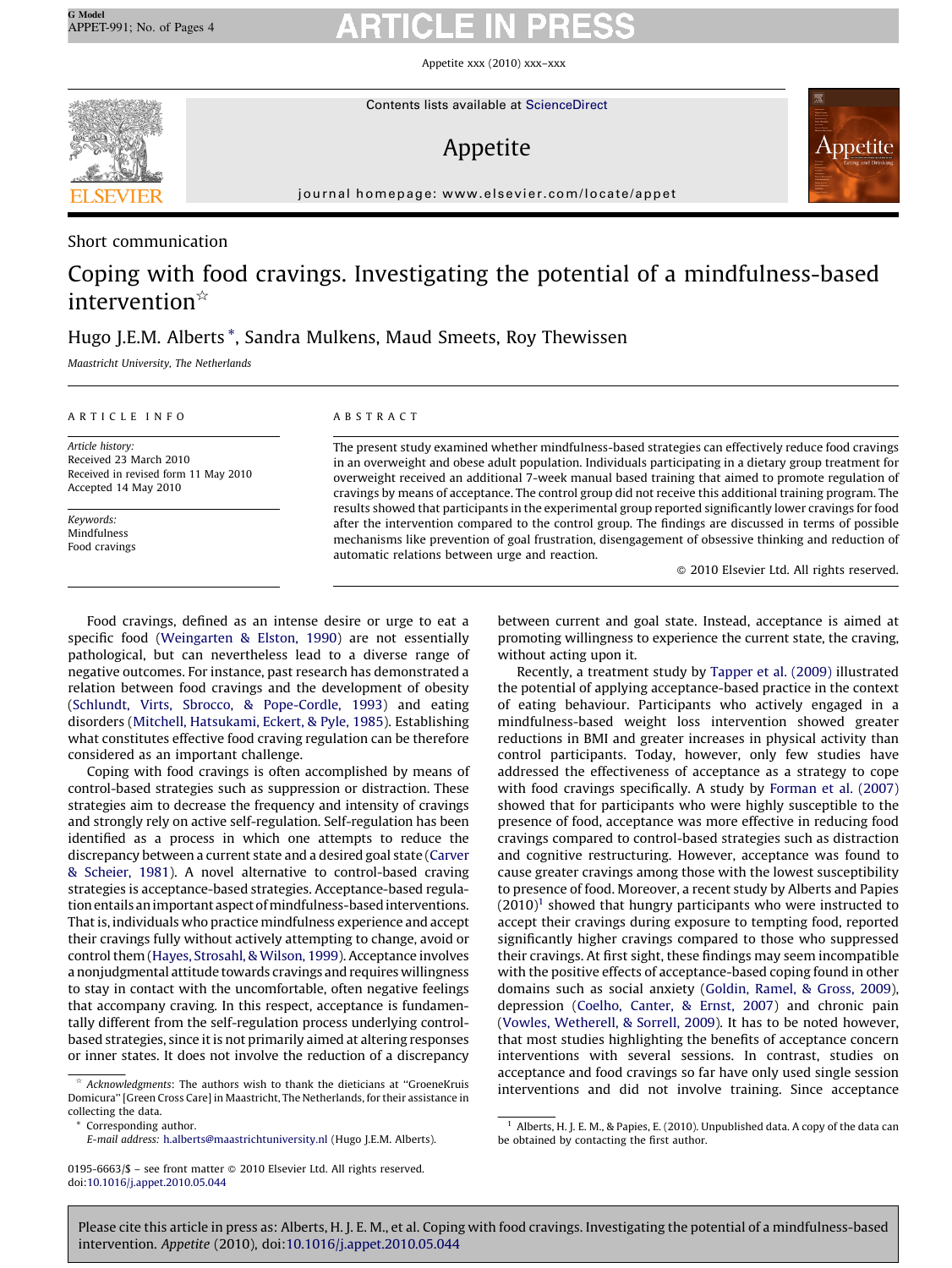Appetite xxx (2010) xxx–xxx



Contents lists available at [ScienceDirect](http://www.sciencedirect.com/science/journal/01956663)

# Appetite



journal homepage: www.elsevier.com/locate/appet

# Short communication

# Coping with food cravings. Investigating the potential of a mindfulness-based intervention $\mathbb{R}$

# Hugo J.E.M. Alberts \*, Sandra Mulkens, Maud Smeets, Roy Thewissen

Maastricht University, The Netherlands

#### ARTICLE INFO

Article history: Received 23 March 2010 Received in revised form 11 May 2010 Accepted 14 May 2010

Keywords: Mindfulness Food cravings

### ABSTRACT

The present study examined whether mindfulness-based strategies can effectively reduce food cravings in an overweight and obese adult population. Individuals participating in a dietary group treatment for overweight received an additional 7-week manual based training that aimed to promote regulation of cravings by means of acceptance. The control group did not receive this additional training program. The results showed that participants in the experimental group reported significantly lower cravings for food after the intervention compared to the control group. The findings are discussed in terms of possible mechanisms like prevention of goal frustration, disengagement of obsessive thinking and reduction of automatic relations between urge and reaction.

- 2010 Elsevier Ltd. All rights reserved.

Food cravings, defined as an intense desire or urge to eat a specific food ([Weingarten & Elston, 1990\)](#page-3-0) are not essentially pathological, but can nevertheless lead to a diverse range of negative outcomes. For instance, past research has demonstrated a relation between food cravings and the development of obesity ([Schlundt, Virts, Sbrocco, & Pope-Cordle, 1993](#page-3-0)) and eating disorders [\(Mitchell, Hatsukami, Eckert, & Pyle, 1985](#page-3-0)). Establishing what constitutes effective food craving regulation can be therefore considered as an important challenge.

Coping with food cravings is often accomplished by means of control-based strategies such as suppression or distraction. These strategies aim to decrease the frequency and intensity of cravings and strongly rely on active self-regulation. Self-regulation has been identified as a process in which one attempts to reduce the discrepancy between a current state and a desired goal state [\(Carver](#page-3-0) [& Scheier, 1981](#page-3-0)). A novel alternative to control-based craving strategies is acceptance-based strategies. Acceptance-based regulation entails an important aspect ofmindfulness-based interventions. That is, individuals who practice mindfulness experience and accept their cravings fully without actively attempting to change, avoid or control them [\(Hayes, Strosahl, & Wilson, 1999\)](#page-3-0). Acceptance involves a nonjudgmental attitude towards cravings and requires willingness to stay in contact with the uncomfortable, often negative feelings that accompany craving. In this respect, acceptance is fundamentally different from the self-regulation process underlying controlbased strategies, since it is not primarily aimed at altering responses or inner states. It does not involve the reduction of a discrepancy

§ Acknowledgments: The authors wish to thank the dieticians at ''GroeneKruis Domicura'' [Green Cross Care] in Maastricht, The Netherlands, for their assistance in collecting the data.

Corresponding author.

E-mail address: [h.alberts@maastrichtuniversity.nl](mailto:h.alberts@maastrichtuniversity.nl) (Hugo J.E.M. Alberts).

0195-6663/\$ – see front matter © 2010 Elsevier Ltd. All rights reserved. doi:[10.1016/j.appet.2010.05.044](http://dx.doi.org/10.1016/j.appet.2010.05.044)

between current and goal state. Instead, acceptance is aimed at promoting willingness to experience the current state, the craving, without acting upon it.

Recently, a treatment study by [Tapper et al. \(2009\)](#page-3-0) illustrated the potential of applying acceptance-based practice in the context of eating behaviour. Participants who actively engaged in a mindfulness-based weight loss intervention showed greater reductions in BMI and greater increases in physical activity than control participants. Today, however, only few studies have addressed the effectiveness of acceptance as a strategy to cope with food cravings specifically. A study by [Forman et al. \(2007\)](#page-3-0) showed that for participants who were highly susceptible to the presence of food, acceptance was more effective in reducing food cravings compared to control-based strategies such as distraction and cognitive restructuring. However, acceptance was found to cause greater cravings among those with the lowest susceptibility to presence of food. Moreover, a recent study by Alberts and Papies  $(2010)^1$  showed that hungry participants who were instructed to accept their cravings during exposure to tempting food, reported significantly higher cravings compared to those who suppressed their cravings. At first sight, these findings may seem incompatible with the positive effects of acceptance-based coping found in other domains such as social anxiety ([Goldin, Ramel, & Gross, 2009\)](#page-3-0), depression [\(Coelho, Canter, & Ernst, 2007](#page-3-0)) and chronic pain ([Vowles, Wetherell, & Sorrell, 2009\)](#page-3-0). It has to be noted however, that most studies highlighting the benefits of acceptance concern interventions with several sessions. In contrast, studies on acceptance and food cravings so far have only used single session interventions and did not involve training. Since acceptance

 $1$  Alberts, H. J. E. M., & Papies, E. (2010). Unpublished data. A copy of the data can be obtained by contacting the first author.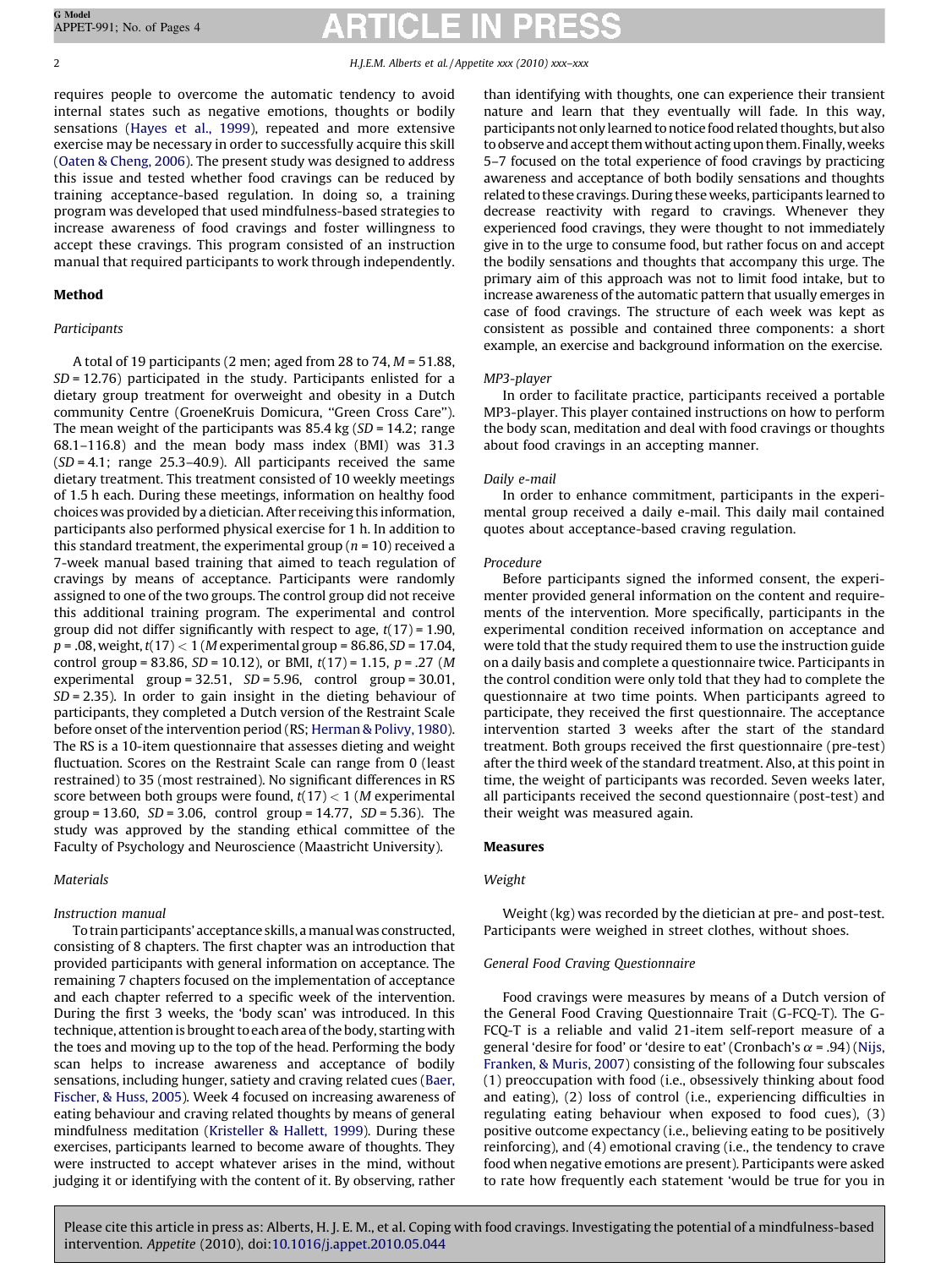requires people to overcome the automatic tendency to avoid internal states such as negative emotions, thoughts or bodily sensations ([Hayes et al., 1999\)](#page-3-0), repeated and more extensive exercise may be necessary in order to successfully acquire this skill ([Oaten & Cheng, 2006\)](#page-3-0). The present study was designed to address this issue and tested whether food cravings can be reduced by training acceptance-based regulation. In doing so, a training program was developed that used mindfulness-based strategies to increase awareness of food cravings and foster willingness to accept these cravings. This program consisted of an instruction manual that required participants to work through independently.

#### Method

#### Participants

A total of 19 participants (2 men; aged from 28 to 74, M = 51.88,  $SD = 12.76$ ) participated in the study. Participants enlisted for a dietary group treatment for overweight and obesity in a Dutch community Centre (GroeneKruis Domicura, ''Green Cross Care''). The mean weight of the participants was  $85.4$  kg (SD = 14.2; range 68.1–116.8) and the mean body mass index (BMI) was 31.3  $(SD = 4.1;$  range 25.3–40.9). All participants received the same dietary treatment. This treatment consisted of 10 weekly meetings of 1.5 h each. During these meetings, information on healthy food choices was provided by a dietician. After receiving this information, participants also performed physical exercise for 1 h. In addition to this standard treatment, the experimental group ( $n = 10$ ) received a 7-week manual based training that aimed to teach regulation of cravings by means of acceptance. Participants were randomly assigned to one of the two groups. The control group did not receive this additional training program. The experimental and control group did not differ significantly with respect to age,  $t(17) = 1.90$ ,  $p = .08$ , weight,  $t(17) < 1$  (*M* experimental group = 86.86, *SD* = 17.04, control group = 83.86,  $SD = 10.12$ ), or BMI,  $t(17) = 1.15$ ,  $p = .27$  (M experimental group =  $32.51$ ,  $SD = 5.96$ , control group =  $30.01$ ,  $SD = 2.35$ ). In order to gain insight in the dieting behaviour of participants, they completed a Dutch version of the Restraint Scale before onset of the intervention period (RS; [Herman & Polivy, 1980\)](#page-3-0). The RS is a 10-item questionnaire that assesses dieting and weight fluctuation. Scores on the Restraint Scale can range from 0 (least restrained) to 35 (most restrained). No significant differences in RS score between both groups were found,  $t(17) < 1$  (*M* experimental group = 13.60,  $SD = 3.06$ , control group = 14.77,  $SD = 5.36$ ). The study was approved by the standing ethical committee of the Faculty of Psychology and Neuroscience (Maastricht University).

#### **Materials**

#### Instruction manual

To train participants' acceptance skills, amanualwas constructed, consisting of 8 chapters. The first chapter was an introduction that provided participants with general information on acceptance. The remaining 7 chapters focused on the implementation of acceptance and each chapter referred to a specific week of the intervention. During the first 3 weeks, the 'body scan' was introduced. In this technique, attention is brought to each area of the body, starting with the toes and moving up to the top of the head. Performing the body scan helps to increase awareness and acceptance of bodily sensations, including hunger, satiety and craving related cues [\(Baer,](#page-3-0) [Fischer, & Huss, 2005\)](#page-3-0). Week 4 focused on increasing awareness of eating behaviour and craving related thoughts by means of general mindfulness meditation [\(Kristeller & Hallett, 1999](#page-3-0)). During these exercises, participants learned to become aware of thoughts. They were instructed to accept whatever arises in the mind, without judging it or identifying with the content of it. By observing, rather than identifying with thoughts, one can experience their transient nature and learn that they eventually will fade. In this way, participants not only learned to notice food related thoughts, but also to observe and accept them without acting upon them. Finally, weeks 5–7 focused on the total experience of food cravings by practicing awareness and acceptance of both bodily sensations and thoughts related to these cravings. During these weeks, participants learned to decrease reactivity with regard to cravings. Whenever they experienced food cravings, they were thought to not immediately give in to the urge to consume food, but rather focus on and accept the bodily sensations and thoughts that accompany this urge. The primary aim of this approach was not to limit food intake, but to increase awareness of the automatic pattern that usually emerges in case of food cravings. The structure of each week was kept as consistent as possible and contained three components: a short example, an exercise and background information on the exercise.

#### MP3-player

In order to facilitate practice, participants received a portable MP3-player. This player contained instructions on how to perform the body scan, meditation and deal with food cravings or thoughts about food cravings in an accepting manner.

#### Daily e-mail

In order to enhance commitment, participants in the experimental group received a daily e-mail. This daily mail contained quotes about acceptance-based craving regulation.

#### Procedure

Before participants signed the informed consent, the experimenter provided general information on the content and requirements of the intervention. More specifically, participants in the experimental condition received information on acceptance and were told that the study required them to use the instruction guide on a daily basis and complete a questionnaire twice. Participants in the control condition were only told that they had to complete the questionnaire at two time points. When participants agreed to participate, they received the first questionnaire. The acceptance intervention started 3 weeks after the start of the standard treatment. Both groups received the first questionnaire (pre-test) after the third week of the standard treatment. Also, at this point in time, the weight of participants was recorded. Seven weeks later, all participants received the second questionnaire (post-test) and their weight was measured again.

#### Measures

#### Weight

Weight (kg) was recorded by the dietician at pre- and post-test. Participants were weighed in street clothes, without shoes.

#### General Food Craving Questionnaire

Food cravings were measures by means of a Dutch version of the General Food Craving Questionnaire Trait (G-FCQ-T). The G-FCQ-T is a reliable and valid 21-item self-report measure of a general 'desire for food' or 'desire to eat' (Cronbach's  $\alpha$  = .94) [\(Nijs,](#page-3-0) [Franken, & Muris, 2007](#page-3-0)) consisting of the following four subscales (1) preoccupation with food (i.e., obsessively thinking about food and eating), (2) loss of control (i.e., experiencing difficulties in regulating eating behaviour when exposed to food cues), (3) positive outcome expectancy (i.e., believing eating to be positively reinforcing), and (4) emotional craving (i.e., the tendency to crave food when negative emotions are present). Participants were asked to rate how frequently each statement 'would be true for you in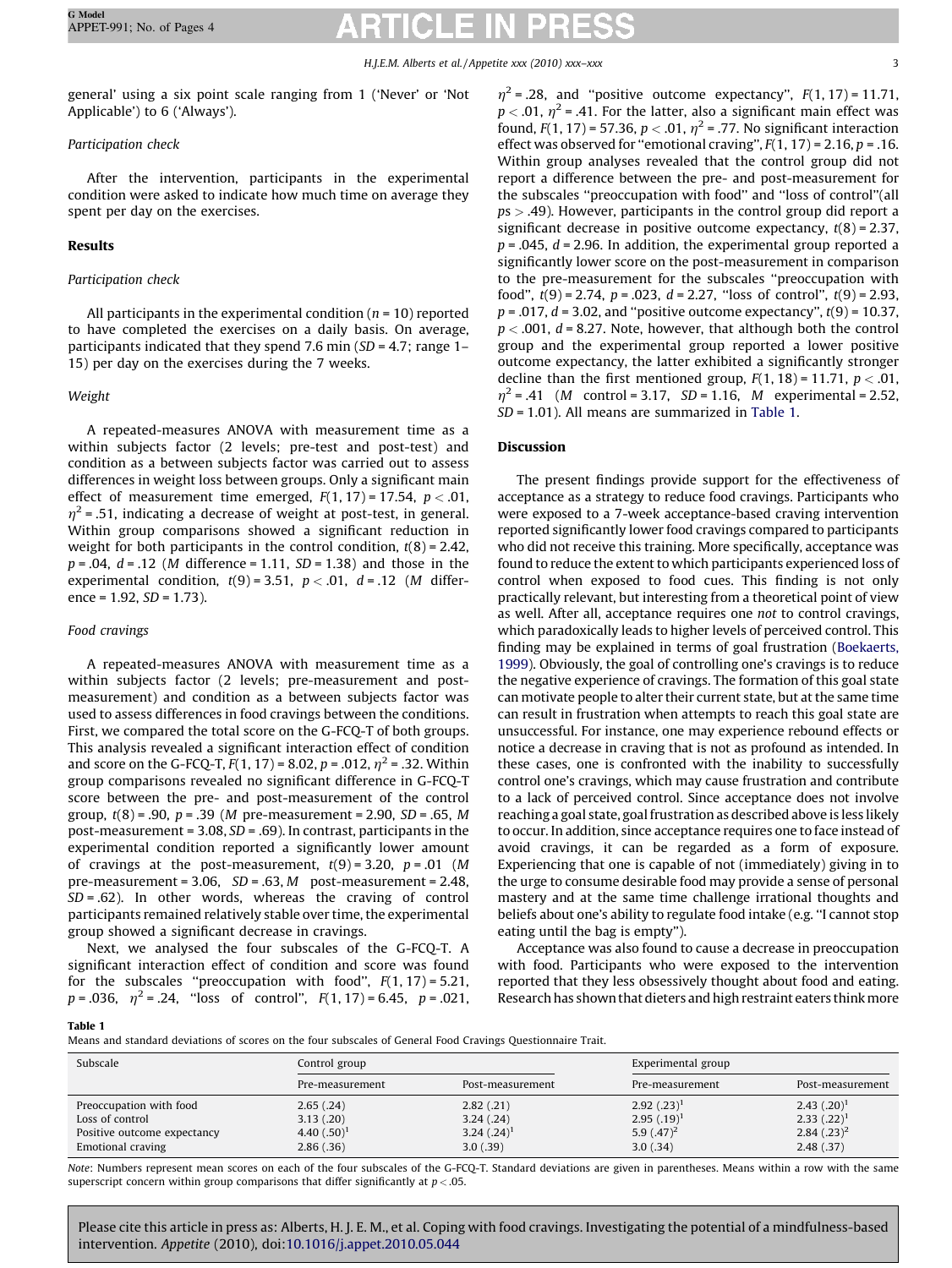### H.J.E.M. Alberts et al. / Appetite xxx (2010) xxx–xxx 3

general' using a six point scale ranging from 1 ('Never' or 'Not Applicable') to 6 ('Always').

## Participation check

After the intervention, participants in the experimental condition were asked to indicate how much time on average they spent per day on the exercises.

# Results

# Participation check

All participants in the experimental condition ( $n = 10$ ) reported to have completed the exercises on a daily basis. On average, participants indicated that they spend 7.6 min  $SD = 4.7$ ; range 1– 15) per day on the exercises during the 7 weeks.

### Weight

A repeated-measures ANOVA with measurement time as a within subjects factor (2 levels; pre-test and post-test) and condition as a between subjects factor was carried out to assess differences in weight loss between groups. Only a significant main effect of measurement time emerged,  $F(1, 17) = 17.54$ ,  $p < .01$ ,  $\eta^2$  = .51, indicating a decrease of weight at post-test, in general. Within group comparisons showed a significant reduction in weight for both participants in the control condition,  $t(8) = 2.42$ ,  $p = .04$ ,  $d = .12$  (*M* difference = 1.11, *SD* = 1.38) and those in the experimental condition,  $t(9) = 3.51$ ,  $p < .01$ ,  $d = .12$  (*M* difference =  $1.92$ ,  $SD = 1.73$ ).

### Food cravings

A repeated-measures ANOVA with measurement time as a within subjects factor (2 levels; pre-measurement and postmeasurement) and condition as a between subjects factor was used to assess differences in food cravings between the conditions. First, we compared the total score on the G-FCQ-T of both groups. This analysis revealed a significant interaction effect of condition and score on the G-FCQ-T,  $F(1, 17) = 8.02$ ,  $p = .012$ ,  $\eta^2 = .32$ . Within group comparisons revealed no significant difference in G-FCQ-T score between the pre- and post-measurement of the control group,  $t(8) = .90$ ,  $p = .39$  (*M* pre-measurement = 2.90, *SD* = .65, *M* post-measurement =  $3.08$ ,  $SD = .69$ ). In contrast, participants in the experimental condition reported a significantly lower amount of cravings at the post-measurement,  $t(9) = 3.20$ ,  $p = .01$  (M pre-measurement =  $3.06$ ,  $SD = .63$ , M post-measurement =  $2.48$ ,  $SD = .62$ ). In other words, whereas the craving of control participants remained relatively stable over time, the experimental group showed a significant decrease in cravings.

Next, we analysed the four subscales of the G-FCQ-T. A significant interaction effect of condition and score was found for the subscales "preoccupation with food",  $F(1, 17) = 5.21$ ,  $p = .036$ ,  $\eta^2 = .24$ , "loss of control",  $F(1, 17) = 6.45$ ,  $p = .021$ ,  $\eta^2$  = .28, and "positive outcome expectancy",  $F(1, 17)$  = 11.71,  $p < .01$ ,  $\eta^2$  = .41. For the latter, also a significant main effect was found,  $F(1, 17) = 57.36$ ,  $p < .01$ ,  $\eta^2 = .77$ . No significant interaction effect was observed for "emotional craving",  $F(1, 17) = 2.16$ ,  $p = .16$ . Within group analyses revealed that the control group did not report a difference between the pre- and post-measurement for the subscales ''preoccupation with food'' and ''loss of control''(all  $ps > .49$ ). However, participants in the control group did report a significant decrease in positive outcome expectancy,  $t(8) = 2.37$ .  $p = 0.045$ ,  $d = 2.96$ . In addition, the experimental group reported a significantly lower score on the post-measurement in comparison to the pre-measurement for the subscales ''preoccupation with food",  $t(9) = 2.74$ ,  $p = .023$ ,  $d = 2.27$ , "loss of control",  $t(9) = 2.93$ ,  $p = .017$ ,  $d = 3.02$ , and "positive outcome expectancy",  $t(9) = 10.37$ ,  $p < .001$ ,  $d = 8.27$ . Note, however, that although both the control group and the experimental group reported a lower positive outcome expectancy, the latter exhibited a significantly stronger decline than the first mentioned group,  $F(1, 18) = 11.71$ ,  $p < .01$ ,  $n^2$  = .41 (*M* control = 3.17, *SD* = 1.16, *M* experimental = 2.52,  $SD = 1.01$ ). All means are summarized in Table 1.

### Discussion

The present findings provide support for the effectiveness of acceptance as a strategy to reduce food cravings. Participants who were exposed to a 7-week acceptance-based craving intervention reported significantly lower food cravings compared to participants who did not receive this training. More specifically, acceptance was found to reduce the extent to which participants experienced loss of control when exposed to food cues. This finding is not only practically relevant, but interesting from a theoretical point of view as well. After all, acceptance requires one not to control cravings, which paradoxically leads to higher levels of perceived control. This finding may be explained in terms of goal frustration ([Boekaerts,](#page-3-0) [1999\)](#page-3-0). Obviously, the goal of controlling one's cravings is to reduce the negative experience of cravings. The formation of this goal state can motivate people to alter their current state, but at the same time can result in frustration when attempts to reach this goal state are unsuccessful. For instance, one may experience rebound effects or notice a decrease in craving that is not as profound as intended. In these cases, one is confronted with the inability to successfully control one's cravings, which may cause frustration and contribute to a lack of perceived control. Since acceptance does not involve reaching a goal state, goal frustration as described above is less likely to occur. In addition, since acceptance requires one to face instead of avoid cravings, it can be regarded as a form of exposure. Experiencing that one is capable of not (immediately) giving in to the urge to consume desirable food may provide a sense of personal mastery and at the same time challenge irrational thoughts and beliefs about one's ability to regulate food intake (e.g. ''I cannot stop eating until the bag is empty'').

Acceptance was also found to cause a decrease in preoccupation with food. Participants who were exposed to the intervention reported that they less obsessively thought about food and eating. Research has shown that dieters and high restraint eaters think more

#### Table 1

Means and standard deviations of scores on the four subscales of General Food Cravings Questionnaire Trait.

| Subscale                    | Control group   |                  | Experimental group |                  |
|-----------------------------|-----------------|------------------|--------------------|------------------|
|                             | Pre-measurement | Post-measurement | Pre-measurement    | Post-measurement |
| Preoccupation with food     | 2.65(.24)       | 2.82(.21)        | $2.92(.23)^1$      | $2.43$ $(.20)^1$ |
| Loss of control             | 3.13(0.20)      | 3.24(.24)        | $2.95(.19)^1$      | $2.33$ $(.22)^1$ |
| Positive outcome expectancy | 4.40 $(.50)^1$  | $3.24(.24)^1$    | 5.9 $(.47)^2$      | $2.84(.23)^2$    |
| Emotional craving           | 2.86(.36)       | 3.0(0.39)        | 3.0(.34)           | 2.48(.37)        |

Note: Numbers represent mean scores on each of the four subscales of the G-FCQ-T. Standard deviations are given in parentheses. Means within a row with the same superscript concern within group comparisons that differ significantly at  $p < .05$ .